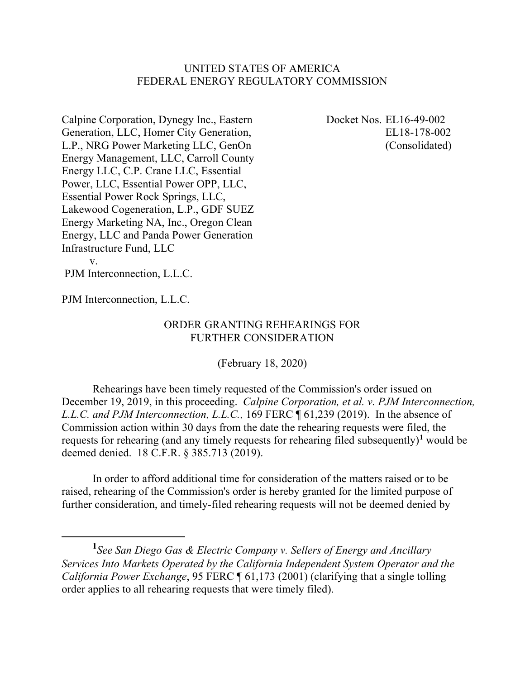## UNITED STATES OF AMERICA FEDERAL ENERGY REGULATORY COMMISSION

Calpine Corporation, Dynegy Inc., Eastern Generation, LLC, Homer City Generation, L.P., NRG Power Marketing LLC, GenOn Energy Management, LLC, Carroll County Energy LLC, C.P. Crane LLC, Essential Power, LLC, Essential Power OPP, LLC, Essential Power Rock Springs, LLC, Lakewood Cogeneration, L.P., GDF SUEZ Energy Marketing NA, Inc., Oregon Clean Energy, LLC and Panda Power Generation Infrastructure Fund, LLC v.

Docket Nos. EL16-49-002 EL18-178-002 (Consolidated)

PJM Interconnection, L.L.C.

PJM Interconnection, L.L.C.

## ORDER GRANTING REHEARINGS FOR FURTHER CONSIDERATION

(February 18, 2020)

Rehearings have been timely requested of the Commission's order issued on December 19, 2019, in this proceeding. *Calpine Corporation, et al. v. PJM Interconnection, L.L.C. and PJM Interconnection, L.L.C.,* 169 FERC ¶ 61,239 (2019). In the absence of Commission action within 30 days from the date the rehearing requests were filed, the requests for rehearing (and any timely requests for rehearing filed subsequently)**<sup>1</sup>** would be deemed denied. 18 C.F.R. § 385.713 (2019).

In order to afford additional time for consideration of the matters raised or to be raised, rehearing of the Commission's order is hereby granted for the limited purpose of further consideration, and timely-filed rehearing requests will not be deemed denied by

**<sup>1</sup>** *See San Diego Gas & Electric Company v. Sellers of Energy and Ancillary Services Into Markets Operated by the California Independent System Operator and the California Power Exchange*, 95 FERC  $\parallel$  61,173 (2001) (clarifying that a single tolling order applies to all rehearing requests that were timely filed).